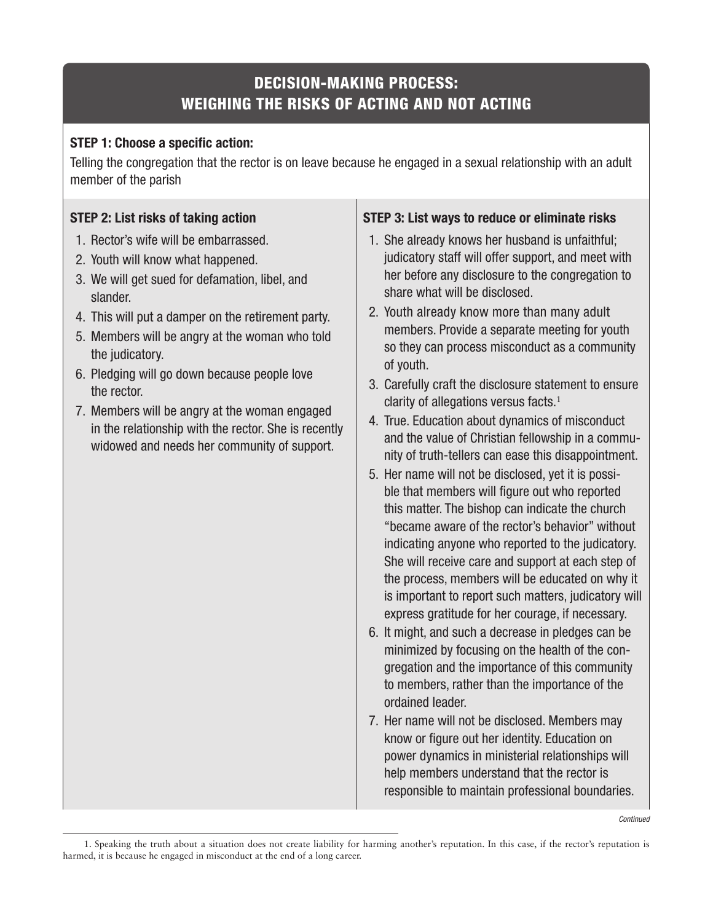## **DECISION-MAKING PROCESS: WEIGHING THE RISKS OF ACTING AND NOT ACTING**

## **STEP 1: Choose a specific action:**

Telling the congregation that the rector is on leave because he engaged in a sexual relationship with an adult member of the parish

## **STEP 2: List risks of taking action**

- 1. Rector's wife will be embarrassed.
- 2. Youth will know what happened.
- 3. We will get sued for defamation, libel, and slander.
- 4. This will put a damper on the retirement party.
- 5. Members will be angry at the woman who told the judicatory.
- 6. Pledging will go down because people love the rector.
- 7. Members will be angry at the woman engaged in the relationship with the rector. She is recently widowed and needs her community of support.

## **STEP 3: List ways to reduce or eliminate risks**

- 1. She already knows her husband is unfaithful; judicatory staff will offer support, and meet with her before any disclosure to the congregation to share what will be disclosed.
- 2. Youth already know more than many adult members. Provide a separate meeting for youth so they can process misconduct as a community of youth.
- 3. Carefully craft the disclosure statement to ensure clarity of allegations versus facts. $1$
- 4. True. Education about dynamics of misconduct and the value of Christian fellowship in a community of truth-tellers can ease this disappointment.
- 5. Her name will not be disclosed, yet it is possible that members will figure out who reported this matter. The bishop can indicate the church "became aware of the rector's behavior" without indicating anyone who reported to the judicatory. She will receive care and support at each step of the process, members will be educated on why it is important to report such matters, judicatory will express gratitude for her courage, if necessary.
- 6. It might, and such a decrease in pledges can be minimized by focusing on the health of the congregation and the importance of this community to members, rather than the importance of the ordained leader.
- 7. Her name will not be disclosed. Members may know or figure out her identity. Education on power dynamics in ministerial relationships will help members understand that the rector is responsible to maintain professional boundaries.

Continued

<sup>1.</sup> Speaking the truth about a situation does not create liability for harming another's reputation. In this case, if the rector's reputation is harmed, it is because he engaged in misconduct at the end of a long career.